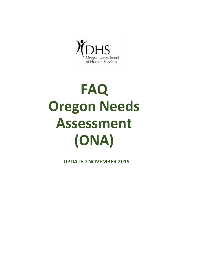

# **FAQ Oregon Needs Assessment (ONA)**

**UPDATED NOVEMBER 2019**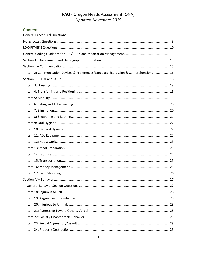| Item 2: Communication Devices & Preferences/Language Expression & Comprehension 16 |  |
|------------------------------------------------------------------------------------|--|
|                                                                                    |  |
|                                                                                    |  |
|                                                                                    |  |
|                                                                                    |  |
|                                                                                    |  |
|                                                                                    |  |
|                                                                                    |  |
|                                                                                    |  |
|                                                                                    |  |
|                                                                                    |  |
|                                                                                    |  |
|                                                                                    |  |
|                                                                                    |  |
|                                                                                    |  |
|                                                                                    |  |
|                                                                                    |  |
|                                                                                    |  |
|                                                                                    |  |
|                                                                                    |  |
|                                                                                    |  |
|                                                                                    |  |
|                                                                                    |  |
|                                                                                    |  |
|                                                                                    |  |
|                                                                                    |  |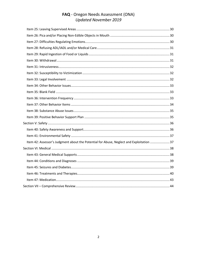| Item 42: Assessor's Judgment about the Potential for Abuse, Neglect and Exploitation 37 |  |
|-----------------------------------------------------------------------------------------|--|
|                                                                                         |  |
|                                                                                         |  |
|                                                                                         |  |
|                                                                                         |  |
|                                                                                         |  |
|                                                                                         |  |
|                                                                                         |  |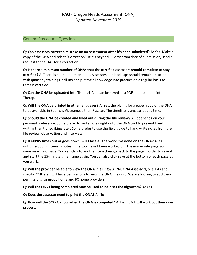#### <span id="page-3-0"></span>General Procedural Questions

**Q: Can assessors correct a mistake on an assessment after it's been submitted?** A: Yes. Make a copy of the ONA and select "Correction". It it's beyond 60 days from date of submission, send a request to the QAT for a correction.

**Q: Is there a minimum number of ONAs that the certified assessors should complete to stay certified?** A: There is no minimum amount. Assessors and back-ups should remain up-to-date with quarterly trainings, call-ins and put their knowledge into practice on a regular basis to remain certified.

**Q: Can the ONA be uploaded into Therap?** A: It can be saved as a PDF and uploaded into Therap.

**Q: Will the ONA be printed in other languages?** A: Yes, the plan is for a paper copy of the ONA to be available in Spanish, Vietnamese then Russian. The timeline is unclear at this time.

**Q: Should the ONA be created and filled out during the file review?** A: It depends on your personal preference. Some prefer to write notes right onto the ONA tool to prevent hand writing then transcribing later. Some prefer to use the field guide to hand write notes from the file review, observation and interview.

**Q: If eXPRS times out or goes down, will I lose all the work I've done on the ONA?** A: eXPRS will time out in fifteen minutes if the tool hasn't been worked on. The immediate page you were on will not save. You can click to another item then go back to the page in order to save it and start the 15-minute time frame again. You can also click save at the bottom of each page as you work.

**Q: Will the provider be able to view the ONA in eXPRS?** A: No. ONA Assessors, SCs, PAs and specific CME staff will have permissions to view the ONA in eXPRS. We are looking to add view permissions for group home and FC home providers.

**Q: Will the ONAs being completed now be used to help set the algorithm?** A: Yes

**Q: Does the assessor need to print the ONA?** A: No

**Q: How will the SC/PA know when the ONA is competed?** A: Each CME will work out their own process.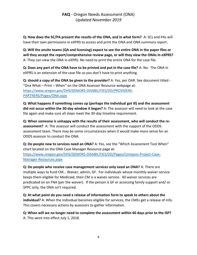**Q: How does the SC/PA present the results of the ONA, and in what form?** A: SCs and PAs will have their own permissions in eXPRS to access and print the ONA and ONA summary report.

**Q: Will the onsite teams (QA and licensing) expect to see the entire ONA in the paper files or will they accept the report/comprehensive review page, or will they view the ONAs in eXPRS?**  A: They can view the ONA in eXPRS. No need to print the entire ONA for the case file.

**Q: Does any part of the ONA have to be printed and put in the case file?** A: No. The ONA in eXPRS is an extension of the case file so you don't have to print anything.

**Q: should a copy of the ONA be given to the provider?** A: Yes, per OAR. See document titled - "Ona What – Print – When" on the ONA Assessor Resource webpage at: [https://www.oregon.gov/DHS/SENIORS-DISABILITIES/DD/PROVIDERS-](https://www.oregon.gov/DHS/SENIORS-DISABILITIES/DD/PROVIDERS-PARTNERS/Pages/ONA.aspx)[PARTNERS/Pages/ONA.aspx](https://www.oregon.gov/DHS/SENIORS-DISABILITIES/DD/PROVIDERS-PARTNERS/Pages/ONA.aspx)

**Q: What happens if something comes up (perhaps the individual got ill) and the assessment did not occur within the 30-day window it began?** A: The assessor will need to look at the case file again and make sure all steps meet the 30-day timeline requirement.

**Q: When someone is unhappy with the results of their assessment, who will conduct the reassessment?** A: The assessor will conduct the assessment with the support of the ODDS assessment team. There may be some circumstances when it would make more sense for an ODDS assessor to conduct the ONA.

**Q: Do people new to services need an ONA?** A: Yes, see the "Which Assessment Tool When" chart located on the ONA Case Manager Resource page at: [https://www.oregon.gov/DHS/SENIORS-DISABILITIES/DD/Pages/Compass-Project-Case-](https://www.oregon.gov/DHS/SENIORS-DISABILITIES/DD/Pages/Compass-Project-Case-Manager-Resources.aspx)[Manager-Resources.aspx](https://www.oregon.gov/DHS/SENIORS-DISABILITIES/DD/Pages/Compass-Project-Case-Manager-Resources.aspx)

**Q: Do people who receive case management services only need an ONA?** A: There are multiple ways to fund CM… Waiver, admin, GF. For individuals whose monthly waiver service keeps them eligible for Medicaid, their CM is a waiver service. All waiver services are predicated on an FNA (per the waiver). If the person is GF or accessing family support and/ or SPPC only, the ONA isn't required.

**Q: At what point do you need a release of information form to speak to others about the individual?** A: When the individual becomes eligible for services, the CMEs get a release of info. This covers necessary actions by assessors to gather information.

**Q: When will we no longer need to complete the assessment within 60 days prior to the ISP?**  A: This went into effect July 1, 2018.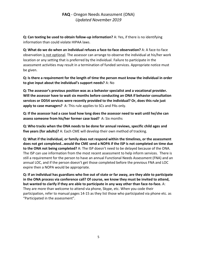**Q: Can texting be used to obtain follow-up information?** A: Yes, if there is no identifying information than could violate HIPAA laws.

**Q: What do we do when an individual refuses a face-to-face observation?** A: A face-to-face observation is not optional. The assessor can arrange to observe the individual at his/her work location or any setting that is preferred by the individual. Failure to participate in the assessment activities may result in a termination of funded services. Appropriate notice must be given.

**Q: Is there a requirement for the length of time the person must know the individual in order to give input about the individual's support needs?** A: No

**Q: The assessor's previous position was as a behavior specialist and a vocational provider. Will the assessor have to wait six months before conducting an ONA if behavior consultation services or DD54 services were recently provided to the individual? Or, does this rule just apply to case managers?** A: This rule applies to SCs and PAs only.

**Q: If the assessor had a case load how long does the assessor need to wait until he/she can assess someone from his/her former case load?** A: Six months

**Q: Who tracks when the ONA needs to be done for annual reviews, specific child ages and five years (for adults)?** A: Each CME will develop their own method of tracking.

**Q: What if the individual, or family does not respond within the timelines, or the assessment does not get completed…would the CME send a NOPA if the ISP is not completed on time due to the ONA not being completed?** A: The ISP doesn't need to be delayed because of the ONA. The ISP can use information from the most recent assessment to help inform services. There is still a requirement for the person to have an annual Functional Needs Assessment (FNA) and an annual LOC, and if the person doesn't get those completed before the previous FNA and LOC expire then a NOPA would be appropriate.

**Q: If an individual has guardians who live out of state or far away, are they able to participate in the ONA process via conference call? Of course, we know they must be invited to attend, but wanted to clarify if they are able to participate in any way other than face-to-face.** A: They are more than welcome to attend via phone, Skype, etc. When you code their participation, refer to manual pages 14-15 as they list those who participated via phone etc. as "Participated in the assessment".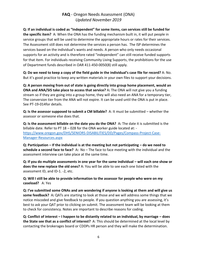**Q: If an individual is coded as "Independent" for some items, can services still be funded for the specific item?** A: When the ONA has the funding mechanism built in, it will put people in service groups that will be used to determine the appropriate hours or rates for their services. The Assessment still does not determine the services a person has. The ISP determines the services based on the individual's wants and needs. A person who only needs occasional supports for an activity and is therefore rated "independent" can still receive funded supports for that item. For individuals receiving Community Living Supports, the prohibitions for the use of Department funds described in OAR 411-450-0050(8) still apply.

**Q: Do we need to keep a copy of the field guide in the individual's case file for record?** A: No. But it's good practice to keep any written materials in your own files to support your decisions.

**Q: A person moving from out of state is going directly into group home placement, would an ONA and ANA/SIS take place to access that service?** A**:** The ONA will not give you a funding stream so if they are going into a group home, they will also need an ANA for a temporary tier, The conversion tier from the ANA will not expire. It can be used until the ONA is put in place. See PT-19-014for details.

**Q: Is the assessor supposed to submit a CM billable?** A: It must be submitted – whether the assessor or someone else does that.

**Q: Is the assessment billable on the date you do the ONA?** A**:** The date it is submitted is the billable date. Refer to PT 18 – 028 for the ONA worker guide located at: [https://www.oregon.gov/DHS/SENIORS-DISABILITIES/DD/Pages/Compass-Project-Case-](https://www.oregon.gov/DHS/SENIORS-DISABILITIES/DD/Pages/Compass-Project-Case-Manager-Resources.aspx)[Manager-Resources.aspx](https://www.oregon.gov/DHS/SENIORS-DISABILITIES/DD/Pages/Compass-Project-Case-Manager-Resources.aspx)

**Q: Participation – If the individual is at the meeting but not participating – do we need to schedule a second face to face?** A**:** No – The face to face meeting with the individual and the assessment interview can take place at the same time.

**Q: If you do multiple assessments in one year for the same individual – will each one show or does the new replace the old ones?** A: You will be able to see each one listed with the assessment ID, and ID-1. -2, etc.

**Q: Will I still be able to provide information to the assessor for people who were on my caseload?** A: Yes

**Q: I've submitted some ONAs and am wondering if anyone is looking at them and will give us some feedback?** A**:** QATs are starting to look at those and we will address some things that we notice miscoded and give feedback to people. If you question anything you are assessing, it's best to ask your QAT prior to clicking on submit. The assessment team will be looking at them to check for consistency. Notes are important to describe reasons for coding.

**Q: Conflict of interest – I happen to be distantly related to an individual, by marriage – does the State see that as a conflict of interest?** A: This should be determined at the local level by contacting the brokerages board or CDDPs HR person and they will make the determination.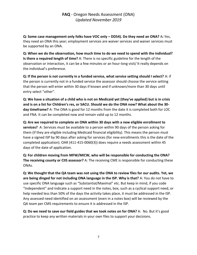**Q: Some case management only folks have VOC only – DD54). Do they need an ONA?** A**:** Yes, they need an ONA this year; employment services are waiver services and waiver services must be supported by an ONA.

**Q: When we do the observation, how much time to do we need to spend with the individual? Is there a required length of time?** A: There is no specific guideline for the length of the observation or interaction, it can be a few minutes or an hour-long visit/ It really depends on the individual's preference.

**Q: If the person is not currently in a funded service, what service setting should I select?** A: if the person is currently not in a funded service the assessor should choose the service setting that the person will enter within 30 days if known and if unknown/more than 30 days until entry select "other".

**Q: We have a situation of a child who is not on Medicaid yet (they've applied) but is in crisis and is on a list for Children's res, or SACU. Should we do the ONA now? What about the 30 day timeframe?** A: The ONA is good for 12 months from the date it is completed both for LOC and FNA. It can be completed now and remain valid up to 12 months.

**Q: Are we required to complete an ONA within 30 days with a new eligible enrollment to services?** A: Services must be available to a person within 90 days of the person asking for them (if they are eligible including Medicaid financial eligibility). This means the person must have a signed ISP by 90 days after asking for services (for new enrollments this is the date of the completed application). OAR (411-415-0060(3)) does require a needs assessment within 45 days of the date of application.

**Q: For children moving from MFW/MICW, who will be responsible for conducting the ONA? The receiving county or CIIS assessor?** A: The receiving CME is responsible for conducting these ONAs.

**Q: We thought that the QA team was not using the ONA to review files for our audits. Yet, we are being dinged for not including ONA language in the ISP. Why is that?** A: You do not have to use specific ONA language such as "Substantial/Maximal" etc. But keep in mind, if you code "Independent" and indicate a support need in the notes, box, such as a cyclical support need, or help needed less than 50% of the days the activity takes place, it must be addressed in the ISP. Any assessed need identified on an assessment (even in a notes box) will be reviewed by the QA team per CMS requirements to ensure it is addressed in the ISP.

**Q: Do we need to save our field guides that we took notes on for ONA?** A: No. But it's good practice to keep any written materials in your own files to support your decisions.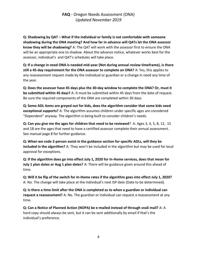**Q: Shadowing by QAT – What if the individual or family is not comfortable with someone shadowing during the ONA meeting? And how far in advance will QATs let the ONA assessor know they will be shadowing?** A: The QAT will work with the assessor first to ensure the ONA will be an appropriate one to shadow. About the advance notice, whatever works best for the assessor, individual's and QAT's schedules will take place.

**Q: If a change in need ONA is needed mid-year (Not during annual review timeframe), is there still a 45-day requirement for the ONA assessor to complete an ONA?** A: Yes, this applies to any reassessment request made by the individual or guardian or a change in need any time of the year.

**Q: Does the assessor have 45 days plus the 30-day window to complete the ONA? Or, must it be submitted within 45 days?** A: It must be submitted within 45 days from the date of request. Be sure the required components of the ONA are completed within 30 days.

**Q: Some ADL items are greyed out for kids, does the algorithm consider that some kids need exceptional supports?** A: The algorithm assumes children under specific ages are considered "Dependent" anyway. The algorithm is being built to consider children's needs.

**Q: Can you give me the ages for children that need to be reviewed**? A: Ages 3, 4, 5, 8, 12, 15 and 18 are the ages that need to have a certified assessor complete their annual assessment. See manual page 8 for further guidance.

**Q: When we code 2-person assist in the guidance section for specific ADLs, will they be included in the algorithm?** A: They won't be included in the algorithm but may be used for local approval for exceptions.

**Q: If the algorithm does go into effect July 1, 2020 for In-Home services, does that mean for July 1 plan dates or Aug 1 plan dates?** A: There will be guidance given around this ahead of time.

**Q: Will it be flip of the switch for In-Home rates if the algorithm goes into effect July 1, 2020?** A: No. The change will take place at the individual's next ISP date (Date to be determined).

**Q: Is there a time limit after the ONA is completed as to when a guardian or individual can request a reassessment?** A: No. The guardian or individual can request a reassessment at any time.

**Q: Can a Notice of Planned Action (NOPA) be e-mailed instead of through snail mail?** A: A hard copy should always be sent, but it can be sent additionally by email if that's the individual's preference.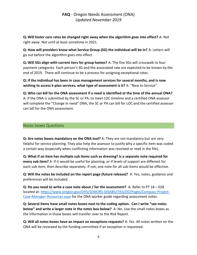**Q: Will foster care rates be changed right away when the algorithm goes into effect?** A: Not right away. Not until at least sometime in 2021.

**Q: How will providers know what Service Group (SG) the individual will be in?** A: Letters will go out before the algorithm goes into effect.

**Q: Will SGs align with current tiers for group homes?** A: The five SGs will crosswalk to four payment categories. Each person's SG and the associated rate are expected to be known by the end of 2019. There will continue to be a process for assigning exceptional rates.

**Q: If the individual has been in case management services for several months, and is now wishing to access k-plan services, what type of assessment is it?** A: "New to Service".

**Q: Who can bill for the ONA assessment if a need is identified at the time of the annual ONA?** A: If the ONA is submitted by the SC or PA, to meet LOC timeline and a certified ONA assessor will complete the "Change In need" ONA, the SC or PA can bill for LOC and the certified assessor can bill for the ONA assessment.

## <span id="page-9-0"></span>Notes boxes Questions

**Q: Are notes boxes mandatory on the ONA tool?** A: They are not mandatory but are very helpful for service planning. They also help the assessor to justify why a specific item was coded a certain way (especially when conflicting information was received or read in the file).

**Q: What if an item has multiple sub items such as dressing? Is a separate note required for every sub item?** A: If it would be useful for planning, or if levels of support are different for each sub item, then describe separately. If not, one note for all sub-items would be effective.

**Q: Will the notes be included on the report page (future release)?** A: Yes, notes, guidance and preferences will be included.

**Q: Do you need to write a case note about / for the assessment?** A: Refer to PT 18 – 028 located at: [https://www.oregon.gov/DHS/SENIORS-DISABILITIES/DD/Pages/Compass-Project-](https://www.oregon.gov/DHS/SENIORS-DISABILITIES/DD/Pages/Compass-Project-Case-Manager-Resources.aspx)[Case-Manager-Resources.aspx](https://www.oregon.gov/DHS/SENIORS-DISABILITIES/DD/Pages/Compass-Project-Case-Manager-Resources.aspx) for the ONA worker guide regarding assessment notes.

**Q: Several items have small notes boxes next to the coding option. Can I write "see notes below" and write a larger note in the notes box below?** A: No. Use the small notes boxes as the information in those boxes will transfer over to the Risk Report.

**Q: Will all notes boxes have an impact on exceptions requests?** A: Yes. All notes written on the ONA will be reviewed by the funding committee if an exception is requested.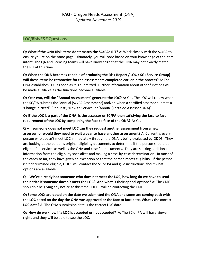# <span id="page-10-0"></span>LOC/Risk/E&E Questions

**Q: What if the ONA Risk items don't match the SC/PAs RIT?** A: Work closely with the SC/PA to ensure you're on the same page. Ultimately, you will code based on your knowledge of the item intent. The QA and licensing teams will have knowledge that the ONA may not exactly match the RIT at this time.

**Q: When the ONA becomes capable of producing the Risk Report / LOC / SG (Service Group) will these items be retroactive for the assessments completed earlier in the process?** A: The ONA establishes LOC as soon as it is submitted. Further information about other functions will be made available as the functions become available.

**Q: Year two, will the "Annual Assessment" generate the LOC?** A: Yes. The LOC will renew when the SC/PA submits the 'Annual (SC/PA Assessment) and/or when a certified assessor submits a 'Change in Need', 'Request', 'New to Service' or 'Annual (Certified Assessor ONA)".

**Q: IF the LOC is a part of the ONA, is the assessor or SC/PA then satisfying the face to face requirement of the LOC by completing the face to face of the ONA?** A: Yes

**Q – If someone does not meet LOC can they request another assessment from a new assessor, or would they need to wait a year to have another assessment?** A: Currently, every person who doesn't meet LOC immediately through the ONA is being evaluated by ODDS. They are looking at the person's original eligibility documents to determine if the person should be eligible for services as well as the ONA and case file documents. They are seeking additional information from the eligibility specialists and making a case-by-case determination. In most of the cases so far, they have given an exception so that the person meets eligibility. If the person isn't determined eligible, ODDS will contact the SC or PA and give instructions about what options are available.

**Q – We've already had someone who does not meet the LOC, how long do we have to send the notice if someone doesn't meet the LOC? And what is their appeal options?** A: The CME shouldn't be giving any notice at this time. ODDS will be contacting the CME.

**Q: Some LOCs are dated on the date we submitted the ONA and some are coming back with the LOC dated on the day the ONA was approved or the face to face date. What's the correct LOC date?** A: The ONA submission date is the correct LOC date.

**Q: How do we know if a LOC is accepted or not accepted?** A: The SC or PA will have viewer rights and they will be able to see the LOC.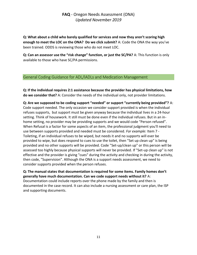**Q: What about a child who barely qualified for services and now they aren't scoring high enough to meet the LOC on the ONA? Do we click submit?** A: Code the ONA the way you've been trained. ODDS is reviewing those who do not meet LOC.

**Q: Can an assessor use the "risk change" function, or just the SC/PA?** A: This function is only available to those who have SC/PA permissions.

# <span id="page-11-0"></span>General Coding Guidance for ADL/IADLs and Medication Management

**Q: If the individual requires 2:1 assistance because the provider has physical limitations, how do we consider that?** A: Consider the needs of the individual only, not provider limitations.

**Q: Are we supposed to be coding support "needed" or support "currently being provided"?** A: Code support needed. The only occasion we consider support provided is when the individual refuses supports, but support must be given anyway because the individual lives in a 24-hour setting. Think of housework. It still must be done even if the individual refuses. But in an inhome setting, no provider may be providing supports and we would code "Person refused". When Refusal is a factor for some aspects of an item, the professional judgment you'll need to use between supports provided and needed must be considered. *For example:* Item 7 - Toileting, if an individual refuses to be wiped, but needs it and no supports will ever be provided to wipe, but does respond to cues to use the toilet, then "Set up clean up" is being provided and no other supports will be provided. Code "Set-up/clean up" or this person will be assessed too highly because physical supports will never be provided. If "Set-up clean up" is not effective and the provider is giving "cues" during the activity and checking in during the activity, then code, "Supervision". Although the ONA is a support needs assessment, we need to consider supports provided when the person refuses.

**generally have much documentation. Can we code support needs without it?** A: Documentation could include reports over the phone made by the family and then is documented in the case record. It can also include a nursing assessment or care plan, the ISP and supporting documents.

**Q: The manual states that documentation is required for some items. Family homes don't**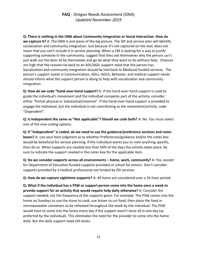**Q: There is nothing in the ONA about Community Integration or Social Interaction. How do we capture it?** A: The ONA is one piece of the big picture. The ISP and service plan will identify socialization and community integration. Just because it's not captured on the tool, does not mean that you can't include it in service planning. When a CM is looking for a way to justify supporting someone in the community, suggest that they ask themselves why the person can't just walk out the door all by themselves and go do what they want to do without help. Chances are high that the reasons tie back to an ADL/IADL support need that the person has. Socialization and community integration should be tied back to Medicaid funded services. The person's support needs in Communication, ADLs, IADLS, Behavior, and medical support needs should inform what the support person is doing to help with socialization and community integration.

**Q: How do we code "hand-over-hand support?** A: If the hand-over-hand support is used to guide the individual's movement and the individual competes part of the activity, consider either "Partial physical or Substantial/maximal". If the hand-over-hand support is provided to engage the individual, but the individual is not contributing to the movement/activity, code "Dependent".

**Q: Is Independent the same as "Not applicable"? Should we code both?** A: No. You must select one of the nine coding options.

**Q: If "Independent" is coded, do we need to use the guidance/preference sections and notes boxes?** A: Use your best judgment as to whether Preferences/guidance and/or the notes box would be beneficial for service planning. If the individual wants you to note anything specific, then do so. When supports are needed less than 50% of the days the activity takes place, be sure to indicate the support needed in the notes box for the applicable item.

**Q: Do we consider supports across all environments – home, work, community?** A: Yes, except for Department of Education funded supports provided at school for minors. Don't consider supports provided by a medical professional not funded by DD services.

**Q: How do we capture nighttime supports?** A: All items are considered over a 24-hour period.

**Q: What if the individual has a PSW or support person come into the home once a week to provide support for an activity that would require help daily otherwise?** A: Consider the support needed, not the frequency of the supports given. For example: The PSW comes into the home on Sundays to use the stove to cook, use knives to cut food, then place the food in microwaveable containers to be reheated throughout the week by the individual. The PSW would have to come into the home every day if the support wasn't done all in one day (as preferred by the individual). This eliminates the need for the provider to come into the home daily. But the daily support need still exists.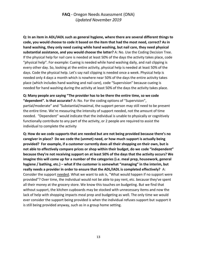**Q: In an item in ADL/IADL such as general hygiene, where there are several different things to code, you would choose to code it based on the item that had the most need, correct? As in hand washing, they only need cueing while hand washing, but nail care, they need physical substantial assistance, and you would choose the latter?** A: No. Use the Coding Decision Tree. If the physical help for nail care is needed at least 50% of the days the activity takes place, code "physical help". For example: Cueing is needed while hand washing daily, and nail clipping is every other day. So, looking at the entire activity, physical help is needed at least 50% of the days. Code the physical help. Let's say nail clipping is needed once a week. Physical help is needed only 4 days a month which is nowhere near 50% of the days the entire activity takes place (which includes hand washing and nail care), code "Supervision" because cueing is needed for hand washing during the activity at least 50% of the days the activity takes place.

**Q: Many people are saying "The provider has to be there the entire time, so we code "dependent". Is that accurate?** A: No. For the coding options of "Supervision", partial/moderate" and "Substantial/maximal, the support person may still need to be present the entire time. We're measuring the intensity of support needed, not the amount of time needed. "Dependent" would indicate that the individual is unable to physically or cognitively functionally contribute to any part of the activity, or 2 people are required to assist the individual to complete the activity

**Q: How do we code supports that are needed but are not being provided because there's no caregiver in place? Do we code the (unmet) need, or how much support is actually being provided? For example, if a customer currently does all their shopping on their own, but is not able to effectively compare prices or shop within their budget, do we code "independent" because they're not receiving support on at least 50% of the days that the activity occurs? We imagine this will come up for a number of the categories (i.e. meal prep, housework, general hygiene / bathing, etc.) – what if the customer is somewhat "managing" in the interim, but really needs a provider in order to ensure that the ADL/IADL is completed effectively?** A: Consider the support needed. What we want to ask is, "What would happen if no support were provided"? Over time, the individual would not be able to pay rent, etc. because they've spent all their money at the grocery store. We know this touches on budgeting. But we find that without support, the kitchen cupboards may be stocked with unnecessary items and now the lack of help with shopping impacts meal prep and budgeting as well. The only time we would ever consider the support being provided is when the individual refuses support but support it is still being provided anyway, such as in a group home setting.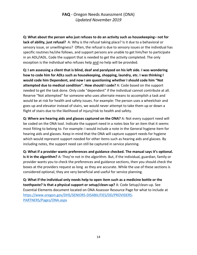**Q: What about the person who just refuses to do an activity such as housekeeping– not for lack of ability, just refusal?** A: Why is the refusal taking place? Is it due to a behavioral or sensory issue, or unwillingness? Often, the refusal is due to sensory issues or the individual has specific routines he/she follows, and support persons are unable to get him/her to participate in an ADL/IADL. Code the support that is needed to get the activity completed. The only exception is the individual who refuses help and no help will be provided.

**Q: I am assessing a client that is blind, deaf and paralyzed on his left side. I was wondering how to code him for ADLs such as housekeeping, shopping, laundry, etc. I was thinking I would code him Dependent, and now I am questioning whether I should code him "Not attempted due to medical condition". How should I code?** A: Code based on the support needed to get the task done. Only code "dependent" if the individual cannot contribute at all. Reserve "Not attempted" for someone who uses alternate means to accomplish a task and would be at risk for health and safety issues. For example: The person uses a wheelchair and goes up and elevator instead of stairs, we would never attempt to take them up or down a flight of stairs due to the likelihood of injury/risk to health and safety.

**Q: Where are hearing aids and glasses captured on the ONA?** A: Not every support need will be coded on the ONA tool. Indicate the support need in a notes box for an item that it seems most fitting to belong to. For example: I would include a note in the General hygiene item for hearing aids and glasses. Keep in mind that the ONA will capture support needs for hygiene which would represent support needed for other items such as hearing aids and glasses. By including notes, the support need can still be captured in service planning.

**Q: What if a provider wants preferences and guidance checked. The manual says it's optional. Is it in the algorithm?** A: They're not in the algorithm. But, if the individual, guardian, family or provider wants you to check the preferences and guidance sections, then you should check the boxes at the providers request as long as they are accurate. While the use of these sections is considered optional, they are very beneficial and useful for service planning.

**Q: What if the individual only needs help to open item such as a medicine bottle or the toothpaste? Is that a physical support or setup/clean-up?** A: Code Setup/clean-up. See Essential Elements document located on ONA Assessor Resource Page for what to include at [https://www.oregon.gov/DHS/SENIORS-DISABILITIES/DD/PROVIDERS-](https://www.oregon.gov/DHS/SENIORS-DISABILITIES/DD/PROVIDERS-PARTNERS/Pages/ONA.aspx)[PARTNERS/Pages/ONA.aspx](https://www.oregon.gov/DHS/SENIORS-DISABILITIES/DD/PROVIDERS-PARTNERS/Pages/ONA.aspx)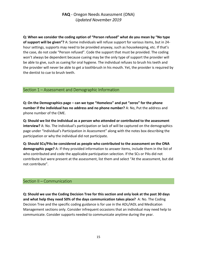**Q: When we consider the coding option of "Person refused" what do you mean by "No type of support will be given"?** A: Some individuals will refuse support for various items, but in 24 hour settings, supports may need to be provided anyway, such as housekeeping, etc. If that's the case, do not code "Person refused". Code the support that must be provided. The coding won't always be dependent because cueing may be the only type of support the provider will be able to give, such as cueing for oral hygiene. The individual refuses to brush his teeth and the provider will never be able to get a toothbrush in his mouth. Yet, the provider is required by the dentist to cue to brush teeth.

#### <span id="page-15-0"></span>Section 1 – Assessment and Demographic Information

**Q: On the Demographics page – can we type "Homeless" and put "zeros" for the phone number if the individual has no address and no phone number?** A: No, Put the address and phone number of the CME.

**Q: Should we list the individual as a person who attended or contributed to the assessment interview?** A: No. The individual's participation or lack of will be captured on the demographics page under "Individual's Participation in Assessment" along with the notes box describing the participation or why the individual did not participate.

**Q: Should SCs/PAs be considered as people who contributed to the assessment on the ONA demographic page?** A: If they provided information to answer items, include them in the list of who contributed and code the applicable participation selection. If the SCs or PAs did not contribute but were present at the assessment, list them and select "At the assessment, but did not contribute".

#### <span id="page-15-1"></span>Section II – Communication

**Q: Should we use the Coding Decision Tree for this section and only look at the past 30 days and what help they need 50% of the days communication takes place?** A: No. The Coding Decision Tree and the specific coding guidance is for use in the ADL/IADL and Medication Management sections only. Consider infrequent occasions that an individual may need help to communicate. Consider supports needed to communicate anytime during the year.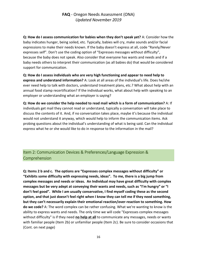**Q: How do I assess communication for babies when they don't speak yet?** A: Consider how the baby indicates hunger, being soiled, etc. Typically, babies will cry, make sounds and/or facial expressions to make their needs known. If the baby doesn't express at all, code "Rarely/Never expresses self". Don't use the coding option of "Expresses messages without difficulty", because the baby does not speak. Also consider that everyone has wants and needs and if a baby needs others to interpret their communication (as all babies do) that would be considered support for communication.

**Q: How do I assess individuals who are very high functioning and appear to need help to express and understand information?** A: Look at all areas of the individual's life. Does he/she ever need help to talk with doctors, understand treatment plans, etc.? What about help with an annual food stamp recertification? If the individual works, what about help with speaking to an employer or understanding what an employer is saying?

**Q: How do we consider the help needed to read mail which is a form of communication?** A: If individuals get mail they cannot read or understand, typically a conversation will take place to discuss the contents of it. And, if no conversation takes place, maybe it's because the individual would not understand it anyway, which would help to inform the communication items. Ask probing questions about the individual's understanding of what is being said. Can the individual express what he or she would like to do in response to the information in the mail?

<span id="page-16-0"></span>Item 2: Communication Devices & Preferences/Language Expression & **Comprehension** 

**Q: Items 2 b and c. The options are "Expresses complex messages without difficulty" or "Exhibits some difficulty with expressing needs, ideas". To me, there is a big jump from complex messages and needs or ideas. An Individual may have great difficulty with complex messages but be very adept at conveying their wants and needs, such as "I'm hungry" or "I don't feel good". While I am usually conservative, I find myself coding these as the second option, and that just doesn't feel right when I know they can tell me if they need something, but they can't necessarily explain their emotional reaction/over-reaction to something. How do we code?** A: The word complex can be rather confusing. What we're wanting to know is the ability to express wants and needs. The only time we will code "Expresses complex messages without difficulty" is if they need **no help at all** to communicate any messages, needs or wants with familiar people (Item 2b) or unfamiliar people (Item 2c). Be sure to consider occasions that (Cont. on next page)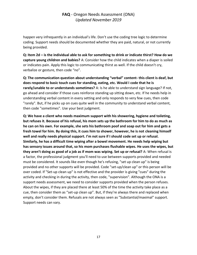happen very infrequently in an individual's life. Don't use the coding tree logic to determine coding. Support needs should be documented whether they are paid, natural, or not currently being provided.

**Q: Item 2d – is the individual able to ask for something to drink or indicate thirst? How do we capture young children and babies?** A: Consider how the child indicates when a diaper is soiled or indicates pain. Apply this logic to communicating thirst as well. If the child doesn't cry, verbalize or gesture, then code "no".

**Q: The communication question about understanding "verbal" content- this client is deaf, but does respond to basic touch cues for standing, eating, etc. Would I code that he is rarely/unable to or understands sometimes?** A: Is he able to understand sign language? If not, go ahead and consider if those cues reinforce standing up sitting down, etc. If he needs help in understanding verbal content in every setting and only responds to very few cues, then code "rarely". But, if he picks up on cues quite well in the community to understand verbal content, then code "sometimes". Use your best judgment.

**Q: We have a client who needs maximum support with his showering, hygiene and toileting, but refuses it. Because of his refusal, his mom sets up the bathroom for him to do as much as he can on his own. For example, she sets his bathroom poof and soap out for him and gets a fresh towel for him. By doing this, it cues him to shower, however, he is not cleaning himself well and really needs physical support. I'm not sure if I should code set up or refusal. Similarly, he has a difficult time wiping after a bowel movement. He needs help wiping but has sensory issues around that, so his mom purchases flushable wipes. He uses the wipes, but they aren't doing as good of a job as if mom was wiping. Set up or refusal?** A: When refusal is a factor, the professional judgment you'll need to use between supports provided and needed must be considered. It sounds like even though he's refusing, "set up clean up" is being provided and no other supports will be provided. Code "set-up/clean up" or this person will be over coded. If "Set-up clean up" is not effective and the provider is giving "cues" during the activity and checking in during the activity, then code, "supervision". Although the ONA is a support needs assessment, we need to consider supports provided when the person refuses. About the wipes, if they are placed there at least 50% of the time the activity take place as a cue, then consider them as "set-up clean up". But, if they're always there and replaced when empty, don't consider them. Refusals are not always seen as "Substantial/maximal" support. Support needs can vary.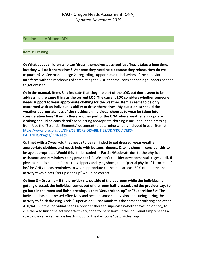## <span id="page-18-0"></span>Section III – ADL and IADLs

#### <span id="page-18-1"></span>Item 3: Dressing

**Q: What about children who can 'dress' themselves at school just fine, it takes a long time, but they will do it themselves? At home they need help because they refuse. How do we capture it?** A: See manual page 21 regarding supports due to behaviors. If the behavior interferes with the mechanics of completing the ADL at home, consider coding supports needed to get dressed.

**Q: In the manual, Items 3a-c indicate that they are part of the LOC, but don't seem to be addressing the same thing as the current LOC. The current LOC considers whether someone needs support to wear appropriate clothing for the weather. Item 3 seems to be only concerned with an individual's ability to dress themselves. My question is: should the weather appropriateness of the clothing an individual chooses to wear be taken into consideration here? If not is there another part of the ONA where weather appropriate clothing should be considered?** A: Selecting appropriate clothing is included in the dressing item. Use the "Essential Elements" document to determine what is included in each item at [https://www.oregon.gov/DHS/SENIORS-DISABILITIES/DD/PROVIDERS-](https://www.oregon.gov/DHS/SENIORS-DISABILITIES/DD/PROVIDERS-PARTNERS/Pages/ONA.aspx)[PARTNERS/Pages/ONA.aspx](https://www.oregon.gov/DHS/SENIORS-DISABILITIES/DD/PROVIDERS-PARTNERS/Pages/ONA.aspx)

**Q: I met with a 7-year-old that needs to be reminded to get dressed, wear weather appropriate clothing, and needs help with buttons, zippers, & tying shoes. I consider this to be age appropriate. Would this still be coded as Partial/Moderate due to the physical assistance and reminders being provided?** A: We don't consider developmental stages at all. If physical help is needed for buttons zippers and tying shoes, then "partial physical" is correct. If he/she ONLY needs reminders to wear appropriate clothes (on at least 50% of the days the activity takes place) "set up clean up" would be correct.

**Q: Item 3 – Dressing – If the provider sits outside of the bedroom while the individual is getting dressed, the individual comes out of the room half-dressed, and the provider says to go back in the room and finish dressing. Is that "Setup/clean-up" or "Supervision?** A: The individual has not dressed effectively and needed some supervision and cueing during the activity to finish dressing. Code "Supervision". That mindset is the same for toileting and other ADL/IADLs. If the individual needs a provider there to supervise (whether eyes on or not), to cue them to finish the activity effectively, code "Supervision". If the individual simply needs a cue to grab a jacket before heading out for the day, code "Setup/clean-up".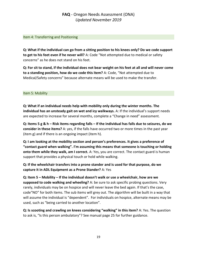#### <span id="page-19-0"></span>Item 4: Transferring and Positioning

**Q: What if the individual can go from a sitting position to his knees only? Do we code support to get to his feet even if he never will?** A: Code "Not attempted due to medical or safety concerns" as he does not stand on his feet.

**Q: For sit to stand, if the individual does not bear weight on his feet at all and will never come to a standing position, how do we code this item?** A: Code, "Not attempted due to Medical/Safety concerns" because alternate means will be used to make the transfer.

#### <span id="page-19-1"></span>Item 5: Mobility

**Q: What if an individual needs help with mobility only during the winter months. The individual has an unsteady gait on wet and icy walkways.** A: If the individual's support needs are expected to increase for several months, complete a "Change in need" assessment.

**Q: Items 5 g & h – Risk items regarding falls – If the individual has falls due to seizures, do we consider in these items?** A: yes, if the falls have occurred two or more times in the past year (item g) and if there is an ongoing impact (item h).

**Q: I am looking at the mobility section and person's preferences. It gives a preference of "contact guard when walking". I'm assuming this means that someone is touching or holding onto them while they walk, am I correct.** A: Yes, you are correct. The contact guard is human support that provides a physical touch or hold while walking.

**Q: If the wheelchair transfers into a prone stander and is used for that purpose, do we capture it in ADL Equipment as a Prone Stander?** A: Yes

**Q: Item 5 – Mobility – If the individual doesn't walk or use a wheelchair, how are we supposed to code walking and wheeling?** A: be sure to ask specific probing questions. Very rarely, individuals may be on hospice and will never leave the bed again. If that's the case, code"NO" for both items. The sub items will grey out. The algorithm will be built in a way that will assume the individual is "dependent". For individuals on hospice, alternate means may be used, such as "being carried to another location".

**Q: Is scooting and crawling on knees considering "walking" in this item?** A: Yes. The question to ask is, "Is this person ambulatory"? See manual page 25 for further guidance.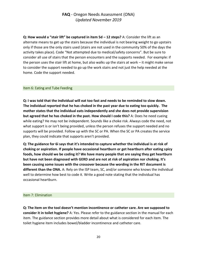**Q: How would a "stair lift" be captured in item 5d – 12 steps?** A: Consider the lift as an alternate means to get up the stairs because the individual is not bearing weight to go upstairs only if those are the only stairs used (stairs are not used in the community 50% of the days the activity takes place). Code "Not attempted due to medical/safety concerns". But be sure to consider all use of stairs that the person encounters and the supports needed. For example: if the person uses the stair lift at home, but also walks up the stairs at work – it might make sense to consider the support needed to go up the work stairs and not just the help needed at the home. Code the support needed.

#### <span id="page-20-0"></span>Item 6: Eating and Tube Feeding

**Q: I was told that the individual will eat too fast and needs to be reminded to slow down. The individual reported that he has choked in the past year due to eating too quickly. The mother states that the individual eats independently and she does not provide supervision but agreed that he has choked in the past. How should I code this?** A: Does he need cueing while eating? He may not be independent. Sounds like a choke risk. Always code the need, not what support is or isn't being provided, unless the person refuses the support needed and no supports will be provided. Follow up with the SC or PA. When the SC or PA creates the service plan, they could indicate that supports aren't provided.

**Q: The guidance for 6i says that it's intended to capture whether the individual is at risk of choking or aspiration. If people have occasional heartburn or get heartburn after eating spicy foods, how should we be coding it? We have many people that are saying they get heartburn but have not been diagnosed with GERD and are not at risk of aspiration nor choking. It's been causing some issues with the crossover because the wording in the RIT document is different than the ONA.** A: Rely on the ISP team, SC, and/or someone who knows the individual well to determine how best to code it. Write a good note stating that the individual has occasional heartburn.

#### <span id="page-20-1"></span>Item 7: Elimination

**Q: The item on the tool doesn't mention incontinence or catheter care. Are we supposed to consider it in toilet hygiene?** A: Yes. Please refer to the guidance section in the manual for each item. The guidance section provides more detail about what is considered for each item. The toilet hygiene item includes bowel/bladder incontinence and catheter care.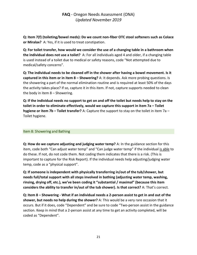**Q: Item 7(f) (toileting/bowel meds): Do we count non-fiber OTC stool softeners such as Colace or Miralax?** A: Yes, if it is used to treat constipation.

**Q: For toilet transfer, how would we consider the use of a changing table in a bathroom when the individual does not use a toilet?** A: For all individuals aged 4 and older, if a changing table is used instead of a toilet due to medical or safety reasons, code "Not attempted due to medical/safety concerns".

**Q: The individual needs to be cleaned off in the shower after having a bowel movement. Is it captured in this item or in item 8 – Showering?** A: It depends. Ask more probing questions. Is the showering a part of the normal elimination routine and is required at least 50% of the days the activity takes place? If so, capture it in this item. If not, capture supports needed to clean the body in item 8 – Showering.

**Q: If the individual needs no support to get on and off the toilet but needs help to stay on the toilet in order to eliminate effectively, would we capture this support in item 7a – Toilet hygiene or item 7b – Toilet transfer?** A: Capture the support to stay on the toilet in item 7a – Toilet hygiene.

#### <span id="page-21-0"></span>Item 8: Showering and Bathing

**Q: How do we capture adjusting and judging water temp?** A: In the guidance section for this item, code both "Can adjust water temp" and "Can judge water temp" if the individual is able to do these. If not, do not code them. Not coding them indicates that there is a risk. (This is important to capture for the Risk Report). If the individual needs help adjusting/judging water temp, code as a "physical support".

**Q: If someone is independent with physically transferring in/out of the tub/shower, but needs full/total support with all steps involved in bathing (adjusting water temp, washing, rinsing, drying off, etc.), we've been coding it "substantial / maximal" (because this item considers the ability to transfer in/out of the tub shower). Is that correct?** A: That's correct.

**Q: Item 8 – Showering - What if an individual needs a 2-person assist to get in and out of the shower, but needs no help during the shower?** A: This would be a very rare occasion that it occurs. But if it does, code "Dependent" and be sure to code "Two-person assist in the guidance section. Keep in mind that a 2-person assist at any time to get an activity completed, will be coded as "Dependent".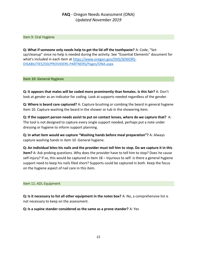<span id="page-22-0"></span>Item 9: Oral Hygiene

**Q: What if someone only needs help to get the lid off the toothpaste?** A: Code, "Setup/cleanup" since no help is needed during the activity. See "Essential Elements" document for what's included in each item at [https://www.oregon.gov/DHS/SENIORS-](https://www.oregon.gov/DHS/SENIORS-DISABILITIES/DD/PROVIDERS-PARTNERS/Pages/ONA.aspx)[DISABILITIES/DD/PROVIDERS-PARTNERS/Pages/ONA.aspx](https://www.oregon.gov/DHS/SENIORS-DISABILITIES/DD/PROVIDERS-PARTNERS/Pages/ONA.aspx)

#### <span id="page-22-1"></span>**Item 10: General Hygiene**

**Q: It appears that males will be coded more prominently than females. Is this fair?** A: Don't look at gender as an indicator for coding. Look at supports needed regardless of the gender.

**Q: Where is beard care captured?** A: Capture brushing or combing the beard in general hygiene Item 10. Capture washing the beard in the shower or tub in the showering item.

**Q: If the support person needs assist to put on contact lenses, where do we capture that?** A: The tool is not designed to capture every single support needed, perhaps put a note under dressing or hygiene to inform support planning.

**Q: In what item would we capture "Washing hands before meal preparation"?** A: Always capture washing hands in item 10 -General hygiene.

**Q: An individual bites his nails and the provider must tell him to stop. Do we capture it in this item?** A: Ask probing questions. Why does the provider have to tell him to stop? Does he cause self-injury? If so, this would be captured in item 18 – Injurious to self. Is there a general hygiene support need to keep his nails filed short? Supports could be captured in both. Keep the focus on the hygiene aspect of nail care in this item.

#### <span id="page-22-2"></span>Item 11: ADL Equipment

**Q: Is it necessary to list all other equipment in the notes box?** A: No, a comprehensive list is not necessary to keep on the assessment.

**Q: Is a supine stander considered as the same as a prone stander?** A: Yes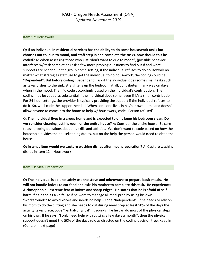#### <span id="page-23-0"></span>Item 12: Housework

**Q: If an individual in residential services has the ability to do some housework tasks but chooses not to, due to mood, and staff step in and complete the tasks, how should this be coded?** A: When assessing those who just "don't want to due to mood", (possible behavior interferes w/ task completion) ask a few more probing questions to find out if and what supports are needed. In the group home setting, if the individual refuses to do housework no matter what strategies staff use to get the individual to do housework, the coding could be "Dependent". But before coding "Dependent", ask if the individual does some small tasks such as takes dishes to the sink, straightens up the bedroom at all, contributes in any way on days when in the mood. Then I'd code accordingly based on the individual's contribution. The coding may be coded as substantial if the individual does some, even if it's a small contribution. For 24-hour settings, the provider is typically providing the support if the individual refuses to do it. So, we'll code the support needed. When someone lives in his/her own home and doesn't allow anyone to come into the home to help w/ housework, code "Person refused".

Q: **The individual lives in a group home and is expected to only keep his bedroom clean. Do we consider cleaning just his room or the entire house?** A: Consider the entire house. Be sure to ask probing questions about his skills and abilities. We don't want to code based on how the household divides the housekeeping duties, but on the help the person would need to clean the house.

**Q: In what item would we capture washing dishes after meal preparation?** A: Capture washing dishes in Item 12 – Housework

#### <span id="page-23-1"></span>Item 13: Meal Preparation

**Q: The individual is able to safely use the stove and microwave to prepare basic meals. He will not handle knives to cut food and asks his mother to complete this task. He experiences Aichmophobia - extreme fear of knives and sharp edges. He states that he is afraid of selfharm if he handles a knife.** A: If he were to manage all meal prep by using his own "workarounds" to avoid knives and needs no help – code "Independent". If he needs to rely on his mom to do the cutting and she needs to cut during meal prep at least 50% of the days the activity takes place, code "partial/physical". It sounds like he can do most of the physical steps on his own. If he says, "I only need help with cutting a few days a month", then the physical support doesn't meet the 50% of the days rule as directed on the coding decision tree. Keep in (Cont. on next page)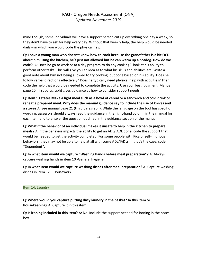mind though, some individuals will have a support person cut up everything one day a week, so they don't have to ask for help every day. Without that weekly help, the help would be needed daily – in which you would code the physical help.

**Q: I have a young man who doesn't know how to cook because the grandfather is a bit OCD about him using the kitchen, he's just not allowed but he can warm up a hotdog. How do we code?** A: Does he go to work or at a day program to do any cooking? look at his ability to perform other tasks. This will give you an idea as to what his skills and abilities are. Write a good note about him not being allowed to try cooking, but code based on his ability. Does he follow verbal directions effectively? Does he typically need physical help with activities? Then code the help that would be needed to complete the activity. Use your best judgment. Manual page 20 (first paragraph) gives guidance as how to consider support needs.

**Q: Item 13 states Make a light meal such as a bowl of cereal or a sandwich and cold drink or reheat a prepared meal. Why does the manual guidance say to include the use of knives and a stove?** A: See manual page 21 (third paragraph). While the language on the tool has specific wording, assessors should always read the guidance in the right-hand column in the manual for each item and to answer the question outlined in the guidance section of the manual.

**Q: What if the behavior of an individual makes it unsafe to help in the kitchen to prepare meals?** A: If the behavior impacts the ability to get an ADL/IADL done, code the support that would be needed to get the activity completed. For some people with Pica or self-injurious behaviors, they may not be able to help at all with some ADL/IADLs. If that's the case, code "Dependent".

**Q: In what item would we capture "Washing hands before meal preparation"?** A: Always capture washing hands in item 10 -General hygiene.

**Q: In what item would we capture washing dishes after meal preparation?** A: Capture washing dishes in Item 12 – Housework

#### <span id="page-24-0"></span>Item 14: Laundry

**Q: Where would you capture putting dirty laundry in the basket? In this item or housekeeping?** A: Capture it in this item.

**Q: Is ironing included in this item?** A: No. Include the support needed for ironing in the notes box.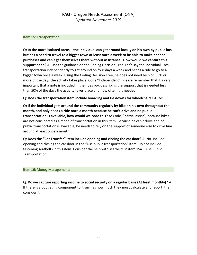#### <span id="page-25-0"></span>Item 15: Transportation

**Q: In the more isolated areas – the individual can get around locally on his own by public bus but has a need to travel to a bigger town at least once a week to be able to make needed purchases and can't get themselves there without assistance. How would we capture this support need?** A: Use the guidance on the Coding Decision Tree. Let's say the individual uses transportation independently to get around on four days a week and needs a ride to go to a bigger town once a week. Using the Coding Decision Tree, he does not need help on 50% or more of the days the activity takes place. Code "Independent". Please remember that it's very important that a note is included in the noes box describing the support that is needed less than 50% of the days the activity takes place and how often it is needed.

**Q: Does the transportation item include boarding and tie downs for wheelchairs?** A: Yes

**Q: If the individual gets around the community regularly by bike on his own throughout the month, and only needs a ride once a month because he can't drive and no public transportation is available, how would we code this?** A: Code, "partial assist", because bikes are not considered as a mode of transportation in this item. Because he can't drive and no public transportation is available, he needs to rely on the support of someone else to drive him around at least once a month.

**Q: Does the "Car Transfer" item include opening and closing the car door?** A: No. Include opening and closing the car door in the "Use public transportation" item. Do not include fastening seatbelts in this item. Consider the help with seatbelts in item 15a – Use Public Transportation.

#### <span id="page-25-1"></span>Item 16: Money Management:

**Q: Do we capture reporting income to social security on a regular basis (At least monthly)?** A: If there is a budgeting component to it such as how much they must calculate and report, then consider it.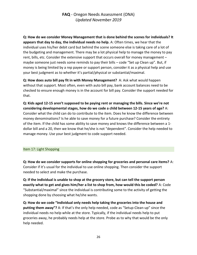**Q: How do we consider Money Management that is done behind the scenes for individuals? It appears that day to day, the individual needs no help.** A: Often times, we hear that the individual uses his/her debit card but behind the scene someone else is taking care of a lot of the budgeting and management. There may be a lot physical help to manage the money to pay rent, bills, etc. Consider the extensive support that occurs overall for money management – maybe someone just needs some reminds to pay their bills – code "Set up Clean up". But, if money is being limited by a rep payee or support person, consider it as a physical help and use your best judgment as to whether it's partial/physical or substantial/maximal.

**Q: How does auto bill pay fit in with Money Management?** A: Ask what would happen without that support. Most often, even with auto bill pay, bank account balances need to be checked to ensure enough money is in the account for bill pay. Consider the support needed for that.

**Q: Kids aged 12-15 aren't supposed to be paying rent or managing the bills. Since we're not considering developmental stages, how do we code a child between 12-15 years of age?** A: Consider what the child can do to contribute to the item. Does he know the difference between money denominations? Is he able to save money for a future purchase? Consider the entirety of the item. If the child has some ability to save money and knows the difference between a 1 dollar bill and a 20, then we know that he/she is not "dependent". Consider the help needed to manage money. Use your best judgment to code support needed.

#### <span id="page-26-0"></span>Item 17: Light Shopping

**Q: How do we consider supports for online shopping for groceries and personal care items?** A: Consider if it's usual for the individual to use online shopping. Then consider the support needed to select and make the purchase.

**Q: If the individual is unable to shop at the grocery store, but can tell the support person exactly what to get and gives him/her a list to shop from, how would this be coded?** A: Code "Substantial/maximal" since the individual is contributing some to the activity of getting the shopping done by choosing what he/she wants.

**Q: How do we code "Individual only needs help taking the groceries into the house and putting them away"?** A: If that's the only help needed, code as "Setup-Clean-up" since the individual needs no help while at the store. Typically, if the individual needs help to put groceries away, he probably needs help at the store. Probe as to why that would be the only help needed.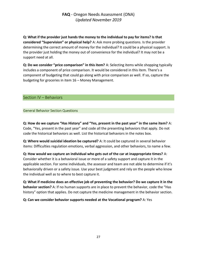**Q: What if the provider just hands the money to the individual to pay for items? Is that considered "Supervision" or physical help?** A: Ask more probing questions. Is the provider determining the correct amount of money for the individual? It could be a physical support. Is the provider just holding the money out of convenience for the individual? It may not be a support need at all.

**Q: Do we consider "price comparison" in this item?** A: Selecting items while shopping typically includes a component of price comparison. It would be considered in this item. There's a component of budgeting that could go along with price comparison as well. If so, capture the budgeting for groceries in item 16 – Money Management.

#### <span id="page-27-0"></span>Section IV – Behaviors

#### <span id="page-27-1"></span>General Behavior Section Questions

**Q: How do we capture "Has History" and "Yes, present in the past year" in the same item?** A: Code, "Yes, present in the past year" and code all the presenting behaviors that apply. Do not code the historical behaviors as well. List the historical behaviors in the notes box.

**Q: Where would suicidal ideation be captured?** A: It could be captured in several behavior items: Difficulties regulation emotions, verbal aggression, and other behaviors, to name a few.

**Q: How would we capture an individual who gets out of the car at inappropriate times?** A: Consider whether it is a behavioral issue or more of a safety support and capture it in the applicable section. For some individuals, the assessor and team are not able to determine if it's behaviorally driven or a safety issue. Use your best judgment and rely on the people who know the individual well as to where to best capture it.

**Q: What if medicine does an effective job of preventing the behavior? Do we capture it in the behavior section?** A: If no human supports are in place to prevent the behavior, code the "Has history" option that applies. Do not capture the medicine management in the behavior section.

**Q: Can we consider behavior supports needed at the Vocational program?** A: Yes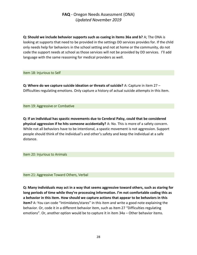**Q: Should we include behavior supports such as cueing in items 36a and b?** A; The ONA is looking at supports that need to be provided in the settings DD services provides for. If the child only needs help for behaviors in the school setting and not at home or the community, do not code the support needs at school as those services will not be provided by DD services. I'll add language with the same reasoning for medical providers as well.

<span id="page-28-0"></span>Item 18: Injurious to Self

**Q: Where do we capture suicide ideation or threats of suicide?** A: Capture in item 27 – Difficulties regulating emotions. Only capture a history of actual suicide attempts in this item.

<span id="page-28-1"></span>Item 19: Aggressive or Combative

**Q: If an individual has spastic movements due to Cerebral Palsy, could that be considered physical aggression if he hits someone accidentally?** A: No. This is more of a safety concern. While not all behaviors have to be intentional, a spastic movement is not aggression. Support people should think of the individual's and other's safety and keep the individual at a safe distance.

<span id="page-28-2"></span>Item 20: Injurious to Animals

<span id="page-28-3"></span>Item 21: Aggressive Toward Others, Verbal

**Q: Many individuals may act in a way that seems aggressive toward others, such as staring for long periods of time while they're processing information. I'm not comfortable coding this as a behavior in this item. How should we capture actions that appear to be behaviors in this item?** A: You can code "Intimidates/stares" in this item and write a good note explaining the behavior. Or, code it in a different behavior item, such as Item 27 "Difficulties regulating emotions". Or, another option would be to capture it in item 34a – Other behavior items.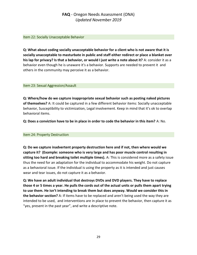#### <span id="page-29-0"></span>Item 22: Socially Unacceptable Behavior

**Q: What about coding socially unacceptable behavior for a client who is not aware that it is socially unacceptable to masturbate in public and staff either redirect or place a blanket over his lap for privacy? Is that a behavior, or would I just write a note about it?** A: consider it as a behavior even though he is unaware it's a behavior. Supports are needed to prevent it and others in the community may perceive it as a behavior.

#### <span id="page-29-1"></span>Item 23: Sexual Aggression/Assault

**Q: Where/how do we capture inappropriate sexual behavior such as posting naked pictures of themselves?** A: It could be captured in a few different behavior items: Socially unacceptable behavior, Susceptibility to victimization, Legal involvement. Keep in mind that it's ok to overlap behavioral items.

**Q: Does a conviction have to be in place in order to code the behavior in this item?** A: No.

#### <span id="page-29-2"></span>Item 24: Property Destruction

**Q: Do we capture inadvertent property destruction here and if not, then where would we capture it? (Example: someone who is very large and has poor muscle control resulting in sitting too hard and breaking toilet multiple times).** A: This is considered more as a safety issue thus the need for an adaptation for the individual to accommodate his weight. Do not capture as a behavioral issue. If the individual is using the property as it is intended and just causes wear and tear issues, do not capture it as a behavior.

**Q: We have an adult individual that destroys DVDs and DVD players. They have to replace those 4 or 5 times a year. He pulls the cords out of the actual units or pulls them apart trying to use them. He isn't intending to break them but does anyway. Would we consider this in the behavior section?** A: If items have to be replaced and aren't being used the way they are intended to be used, and interventions are in place to prevent the behavior, then capture it as "yes, present in the past year", and write a descriptive note.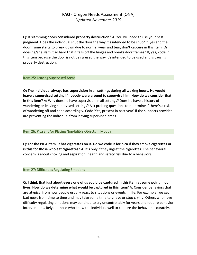**Q: Is slamming doors considered property destruction?** A: You will need to use your best judgment. Does the individual shut the door the way it's intended to be shut? If, yes and the door frame starts to break down due to normal wear and tear, don't capture in this item. Or, does he/she slam it so hard that it falls off the hinges and breaks door frames? If, yes, code in this item because the door is not being used the way it's intended to be used and is causing property destruction.

#### <span id="page-30-0"></span>Item 25: Leaving Supervised Areas

**Q: The individual always has supervision in all settings during all waking hours. He would leave a supervised setting if nobody were around to supervise him. How do we consider that in this item?** A: Why does he have supervision in all settings? Does he have a history of wandering or leaving supervised settings? Ask probing questions to determine if there's a risk of wandering off and code accordingly. Code 'Yes, present in past year' if the supports provided are preventing the individual from leaving supervised areas.

<span id="page-30-1"></span>Item 26: Pica and/or Placing Non-Edible Objects in Mouth

**Q: For the PICA item, it has cigarettes on it. Do we code it for pica if they smoke cigarettes or is this for those who eat cigarettes?** A: It's only if they ingest the cigarettes. The behavioral concern is about choking and aspiration (health and safety risk due to a behavior).

#### <span id="page-30-2"></span>Item 27: Difficulties Regulating Emotions

**Q: I think that just about every one of us could be captured in this item at some point in our lives. How do we determine what would be captured in this item?** A: Consider behaviors that are atypical from how people usually react to situations or events in life. For example, we get bad news from time to time and may take some time to grieve or stop crying. Others who have difficulty regulating emotions may continue to cry uncontrollably for years and require behavior interventions. Rely on those who know the individual well to capture the behavior accurately.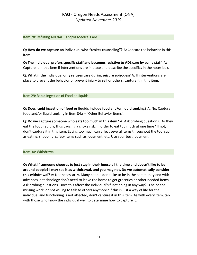#### <span id="page-31-0"></span>Item 28: Refusing ADL/IADL and/or Medical Care

**Q: How do we capture an individual who "resists counseling"?** A: Capture the behavior in this item.

**Q: The individual prefers specific staff and becomes resistive to ADL care by some staff.** A: Capture it in this item if interventions are in place and describe the specifics in the notes box.

**Q: What if the individual only refuses care during seizure episodes?** A: If interventions are in place to prevent the behavior or prevent injury to self or others, capture it in this item.

#### <span id="page-31-1"></span>Item 29: Rapid Ingestion of Food or Liquids

**Q: Does rapid ingestion of food or liquids include food and/or liquid seeking?** A: No. Capture food and/or liquid seeking in item 34a – "Other Behavior items".

**Q: Do we capture someone who eats too much in this item?** A: Ask probing questions. Do they eat the food rapidly, thus causing a choke risk, in order to eat too much at one time? If not, don't capture it in this item. Eating too much can affect several items throughout the tool such as eating, shopping, safety items such as judgment, etc. Use your best judgment.

#### <span id="page-31-2"></span>Item 30: Withdrawal

**Q: What if someone chooses to just stay in their house all the time and doesn't like to be around people? I may see it as withdrawal, and you may not. Do we automatically consider this withdrawal?** A: Not necessarily. Many people don't like to be in the community and with advances in technology don't need to leave the home to get groceries or other needed items. Ask probing questions. Does this affect the individual's functioning in any way? Is he or she missing work, or not willing to talk to others anymore? If this is just a way of life for the individual and functioning is not affected, don't capture it in this item. As with every item, talk with those who know the individual well to determine how to capture it.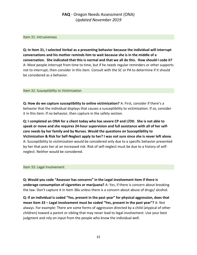<span id="page-32-0"></span>Item 31: Intrusiveness

**Q: In Item 31, I selected Verbal as a presenting behavior because the individual will interrupt conversations and his mother reminds him to wait because she is in the middle of a conversation. She indicated that this is normal and that we all do this. How should I code it?**  A: Most people interrupt from time to time, but if he needs regular reminders or other supports not to interrupt, then consider in this item. Consult with the SC or PA to determine if it should be considered as a behavior.

#### <span id="page-32-1"></span>Item 32: Susceptibility to Victimization

**Q: How do we capture susceptibility to online victimization?** A: First, consider if there's a behavior that the individual displays that causes a susceptibility to victimization. If so, consider it in this item. If no behavior, then capture in the safety section.

**Q: I completed an ONA for a client today who has severe CP and I/DD. She is not able to speak or move and she requires 24-hour supervision and full assistance with all of her selfcare needs by her family and by Nurses. Would the questions on Susceptibility to Victimization & Risk for Self-Neglect apply to her? I was not sure since she is never left alone**. A: Susceptibility to victimization would be considered only due to a specific behavior presented by her that puts her at an increased risk. Risk of self-neglect must be due to a history of selfneglect. Neither would be considered.

#### <span id="page-32-2"></span>Item 33: Legal Involvement

**Q: Would you code "Assessor has concerns" in the Legal involvement item if there is underage consumption of cigarettes or marijuana?** A: Yes, if there is concern about breaking the law. Don't capture it in Item 38a unless there is a concern about abuse of drugs/ alcohol.

**Q: If an individual is coded "Yes, present in the past year" for physical aggression, does that mean Item 33 – Legal involvement must be coded "Yes, present in the past year"?** A: Not always. For example: There are some forms of aggression directed by a child (atypical of other children) toward a parent or sibling that may never lead to legal involvement. Use your best judgment and rely on input from the people who know the individual well.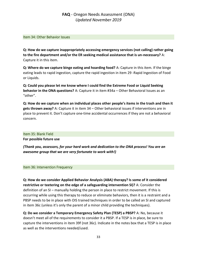#### <span id="page-33-0"></span>Item 34: Other Behavior Issues

**Q: How do we capture inappropriately accessing emergency services (not calling) rather going to the fire department and/or the ER seeking medical assistance that is un-necessary?** A: Capture it in this item.

**Q: Where do we capture binge eating and hoarding food?** A: Capture in this item. If the binge eating leads to rapid ingestion, capture the rapid ingestion in item 29 -Rapid Ingestion of Food or Liquids.

**Q: Could you please let me know where I could find the Extreme Food or Liquid Seeking behavior in the ONA questions?** A: Capture it in item #34a – Other Behavioral Issues as an "other".

**Q: How do we capture when an individual places other people's items in the trash and then it gets thrown away?** A: Capture it in item 34 – Other behavioral issues if interventions are in place to prevent it. Don't capture one-time accidental occurrences if they are not a behavioral concern.

<span id="page-33-1"></span>Item 35: Blank Field **For possible future use**

*(Thank you, assessors, for your hard work and dedication to the ONA process! You are an awesome group that we are very fortunate to work with!)* 

#### <span id="page-33-2"></span>Item 36: Intervention Frequency

**Q: How do we consider Applied Behavior Analysis (ABA) therapy? Is some of it considered restrictive or teetering on the edge of a safeguarding intervention SI)?** A: Consider the definition of an SI – manually holding the person in place to restrict movement. If this is occurring while using this therapy to reduce or eliminate behaviors, then it is a restraint and a PBSP needs to be in place with OIS trained techniques in order to be called an SI and captured in item 36c (unless it's only the parent of a minor child providing the techniques).

**Q: Do we consider a Temporary Emergency Safety Plan (TESP) a PBSP?** A: No, because it doesn't meet all of the requirements to consider it a PBSP. If a TESP is in place, be sure to capture the interventions in item 39f (not 36c). Indicate in the notes box that a TESP is in place as well as the interventions needed/used.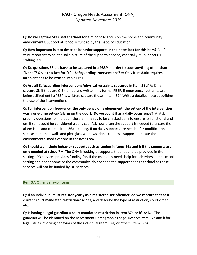**Q: Do we capture SI's used at school for a minor?** A: Focus on the home and community environments. Support at school is funded by the Dept. of Education.

**Q: How important is it to describe behavior supports in the notes box for this item?** A: It's very important to paint a solid picture of the supports needed, especially 2:1 supports, 1:1 staffing, etc.

**Q: Do questions 36 a-c have to be captured in a PBSP in order to code anything other than "None"? Or, is this just for "c" – Safeguarding Interventions?** A: Only item #36c requires interventions to be written into a PBSP.

**Q: Are all Safeguarding Interventions/physical restraints captured in Item 36c?** A: Only capture SIs if they are OIS trained and written in a formal PBSP. If emergency restraints are being utilized until a PBSP is written, capture those in item 39f. Write a detailed note describing the use of the interventions.

**Q: For intervention frequency, the only behavior is elopement, the set-up of the intervention was a one-time set-up (alarm on the door). Do we count it as a daily occurrence?** A: Ask probing questions to find out if the alarm needs to be checked daily to ensure its functional and on. If so, it could be considered a daily cue. Ask how often the support is needed to ensure the alarm is on and code in item 36a – cueing. If no daily supports are needed for modifications such as hardened walls and plexiglass windows, don't code as a support. Indicate the environmental modifications in the notes box.

**Q: Should we include behavior supports such as cueing in items 36a and b if the supports are only needed at school?** A: The ONA is looking at supports that need to be provided in the settings DD services provides funding for. If the child only needs help for behaviors in the school setting and not at home or the community, do not code the support needs at school as those services will not be funded by DD services.

#### <span id="page-34-0"></span>Item 37: Other Behavior Items

**Q: If an individual must register yearly as a registered sex offender, do we capture that as a current court mandated restriction?** A: Yes, and describe the type of restriction, court order, etc.

**Q: Is having a legal guardian a court mandated restriction in item 37a or b?** A: No. The guardian will be identified on the Assessment Demographics page. Reserve Item 37a and b for legal issues involving behaviors of the individual (Item 37a) or others (Item 37b).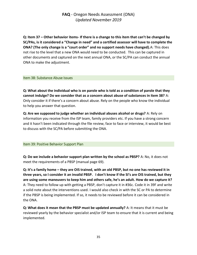**Q: Item 37 – Other behavior items- If there is a change to this item that can't be changed by SC/PAs, is it considered a "Change in need" and a certified assessor will have to complete the ONA? (The only change is a "court order" and no support needs have changed).**A: This does not rise to the level that a new ONA would need to be conducted. This can be captured in other documents and captured on the next annual ONA, or the SC/PA can conduct the annual ONA to make the adjustment.

#### <span id="page-35-0"></span>Item 38: Substance Abuse Issues

**Q: What about the individual who is on parole who is told as a condition of parole that they cannot indulge? Do we consider that as a concern about abuse of substances in item 38?** A: Only consider it if there's a concern about abuse. Rely on the people who know the individual to help you answer that question.

**Q: Are we supposed to judge whether an individual abuses alcohol or drugs?** A: Rely on information you receive from the ISP team, family providers etc. If you have a strong concern and it hasn't been indicated through the file review, face to face or interview, it would be best to discuss with the SC/PA before submitting the ONA.

#### <span id="page-35-1"></span>Item 39: Positive Behavior Support Plan

**Q: Do we include a behavior support plan written by the school as PBSP?** A: No, it does not meet the requirements of a PBSP (manual page 69).

**Q: It's a family home – they are OIS trained, with an old PBSP, but no one has reviewed it in three years, so I consider it an invalid PBSP. I don't know if the SI's are OIS trained, but they are using some maneuvers to keep him and others safe, he's an adult. How do we capture it?** A: They need to follow up with getting a PBSP, don't capture it in #36c. Code it in 39F and write a solid note about the interventions used. I would also check in with the SC or PA to determine if the PBSP is being implemented. If so, it needs to be reviewed before it can be considered in the ONA.

**Q: What does it mean that the PBSP must be updated annually?** A: It means that it must be reviewed yearly by the behavior specialist and/or ISP team to ensure that it is current and being implemented.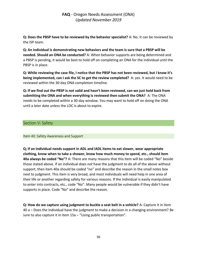**Q: Does the PBSP have to be reviewed by the behavior specialist?** A: No. It can be reviewed by the ISP team.

**Q: An individual is demonstrating new behaviors and the team is sure that a PBSP will be needed. Should an ONA be conducted?** A: When behavior supports are being determined and a PBSP is pending, it would be best to hold off on completing an ONA for the individual until the PBSP is in place.

**Q: While reviewing the case file, I notice that the PBSP has not been reviewed, but I know it's being implemented, can I ask the SC to get the review completed?** A: yes. It would need to be reviewed within the 30-day ONA completion timeline.

**Q: If we find out the PBSP is not valid and hasn't been reviewed, can we just hold back from submitting the ONA and when everything is reviewed then submit the ONA?** A: The ONA needs to be completed within a 30-day window. You may want to hold off on doing the ONA until a later date unless the LOC is about to expire.

#### <span id="page-36-0"></span>Section V: Safety

#### <span id="page-36-1"></span>Item 40: Safety Awareness and Support

**Q; If an individual needs support in ADL and IADL items to eat slower, wear appropriate clothing, know when to take a shower, know how much money to spend, etc., should item 40a always be coded "No"?** A: There are many reasons that this item will be coded "No" beside those stated above. If an individual does *not* have the judgment to do all of the above without support, then item 40a should be coded "no" and describe the reason in the small notes box next to judgment. This item is very broad, and most individuals will need help in one area of their life or another regarding safety for various reasons. If the individual is easily manipulated to enter into contracts, etc., code "No". Many people would be vulnerable if they didn't have supports in place. Code "No" and describe the reason.

**Q: How do we capture using judgment to buckle a seat belt in a vehicle?** A: Capture it in item 40 a – Does the individual have the judgment to make a decision in a changing environment? Be sure to also capture it in item 15a – "Using public transportation".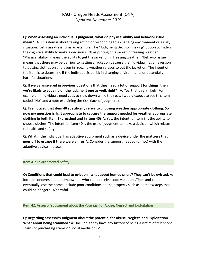**Q: When assessing an individual's judgment, what do physical ability and behavior issue mean?** A: This item is about taking action or responding to a changing environment or a risky situation. Let's use dressing as an example. The "Judgment/Decision making" option considers the cognitive ability to make a decision such as putting on a jacket in freezing weather. "Physical ability" means the ability to get the jacket on in freezing weather. "Behavior issue" means that there may be barriers to getting a jacket on because the individual has an aversion to putting clothes on and even in freezing weather refuses to put the jacket on. The intent of the item is to determine if the individual is at risk in changing environments or potentially harmful situations.

**Q: If we've answered in previous questions that they need a lot of support for things, then we're likely to code no on the judgment one as well, right?** A: Yes, that's very likely. For example: If individuals need cues to slow down while they eat, I would expect to see this item coded "No" and a note explaining the risk (lack of judgment).

**Q: I've noticed that item 40 specifically refers to choosing weather appropriate clothing. So now my question is: Is it appropriate to capture the support needed for weather appropriate clothing in both item 3 (dressing) and in item 40?** A: Yes, the intent for item 3 is the ability to choose clothes. The intent for item 40 is the use of judgment to make a decision which relates to health and safety.

**Q: What if the individual has adaptive equipment such as a device under the mattress that goes off to escape if there were a fire?** A: Consider the support needed (or not) with the adaptive device in place.

<span id="page-37-0"></span>Item 41: Environmental Safety

**Q: Conditions that could lead to eviction - what about homeowners? They can't be evicted.** A: Include concerns about homeowners who could receive code violations/fines and could eventually lose the home. Include poor conditions on the property such as porches/steps that could be dangerous/harmful.

<span id="page-37-1"></span>Item 42: Assessor's Judgment about the Potential for Abuse, Neglect and Exploitation

**Q: Regarding assessor's Judgment about the potential for Abuse, Neglect, and Exploitation – What about being scammed?** A:Include if they have any history of being a victim of telephone scams or purchasing scams on social media or TV.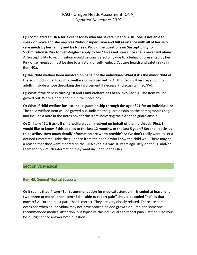**Q: I completed an ONA for a client today who has severe CP and I/DD. She is not able to speak or move and she requires 24-hour supervision and full assistance with all of her selfcare needs by her family and by Nurses. Would the questions on Susceptibility to Victimization & Risk for Self-Neglect apply to her? I was not sure since she is never left alone.**  A: Susceptibility to victimization would be considered only due to a behavior presented by her. Risk of self-neglect must be due to a history of self-neglect. Capture health and safety risks in item 40a.

**Q: Has child welfare been involved on behalf of the individual? What if it's the minor child of the adult individual that child welfare is involved with?** A: This item will be greyed out for adults. Include a note describing the involvement if necessary (discuss with SC/PA).

**Q: What if the child is turning 18 and Child Welfare has been involved?** A: The item will be greyed out. Write a note about it in the notes box.

**Q: What if child welfare has extended guardianship through the age of 21 for an individual.** A: The child welfare item will be greyed out. Indicate the guardianship on the demographics page and include a note in the notes box for this item indicating the extended guardianship.

**Q: On Item 42c, it asks if child welfare been involved on behalf of the individual. First, I would like to know if this applies to the last 12 months, or the last 5 years? Second, it asks us to describe. How much detail/information are we to provide**? A: We don't really want to set a defined timeframe. Take the guidance from the people who know the child well. There may be a reason that they want it noted on the ONA even if it was 10 years ago. Rely on the SC and/or team for how much information they want included in the ONA.

## <span id="page-38-0"></span>Section VI: Medical

#### <span id="page-38-1"></span>Item 43: General Medical Supports

**Q: It seems that if item 43a "recommendation for medical attention" is coded at least "one two, three or more", then item 43d – "able to report pain" should be coded "no". Is that correct?** A: For the most part, that is correct. They are very closely related. There are some occasions when an individual may not have noticed an odd growth or lump and someone recommended medical attention, but typically, the individual can report pain just fine. Use your best judgment to answer both questions.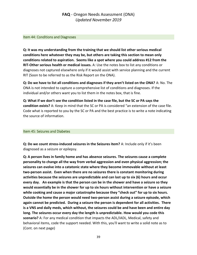#### <span id="page-39-0"></span>Item 44: Conditions and Diagnoses

**Q: It was my understanding from the training that we should list other serious medical conditions here whatever they may be, but others are taking this section to mean only conditions related to aspiration. Seems like a spot where you could address #12 from the RIT-Other serious health or medical issues.** A: Use the notes box to list any conditions or diagnoses not captured elsewhere only if it would assist with service planning and the current RIT (Soon to be referred to as the Risk Report on the ONA).

**Q: Do we have to list all conditions and diagnoses if they aren't listed on the ONA?** A: No. The ONA is not intended to capture a comprehensive list of conditions and diagnoses. If the individual and/or others want you to list them in the notes box, that is fine.

**Q: What if we don't see the condition listed in the case file, but the SC or PA says the condition exists?** A: Keep in mind that the SC or PA is considered "an extension of the case file. Code what is reported to you by the SC or PA and the best practice is to write a note indicating the source of information.

#### <span id="page-39-1"></span>Item 45: Seizures and Diabetes

**Q: Do we count stress-induced seizures in the Seizures item?** A: Include only if it's been diagnosed as a seizure or epilepsy.

**Q: A person lives in family home and has absence seizures. The seizures cause a complete personality to change all the way from verbal aggression and even physical aggression; the seizures can evolve into a catatonic state where they become immovable without at least two-person assist. Even when there are no seizures there is constant monitoring during activities because the seizures are unpredictable and can last up to six (6) hours and occur every day. An example is that the person can be in the shower and have a seizure so they would essentially be in the shower for up to six hours without intervention or have a seizure while cooking and cause a major catastrophe because they "check out" for up to six hours. Outside the home the person would need two-person assist during a seizure episode, which again cannot be predicted. During a seizure the person is dependent for all activities. There is a VNS and daily meds, which without, the seizures could be and have been and entire day long. The seizures occur every day the length is unpredictable. How would you code this scenario?** A: For any medical condition that impacts the ADL/IADL, Medical, safety and behavioral items, code the support needed. With this, you'll want to write a solid note as to (Cont. on next page)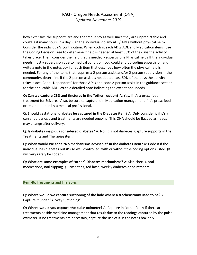how extensive the supports are and the frequency as well since they are unpredictable and could last many hours in a day. Can the individual do any ADL/IADLs without physical help? Consider the individual's contribution. When coding each ADL/IADL and Medication items, use the Coding Decision Tree to determine if help is needed at least 50% of the days the activity takes place. Then, consider the help that is needed - supervision? Physical help? If the individual needs mostly supervision due to medical condition, you could end up coding supervision and write a note in the notes box for each item that describes how often the physical help is needed. For any of the items that requires a 2-person assist and/or 2-person supervision in the community, determine if the 2-person assist is needed at least 50% of the days the activity takes place. Code "Dependent" for those ADLs and code 2-person assist in the guidance section for the applicable ADL. Write a detailed note indicating the exceptional needs.

**Q: Can we capture CBD and tinctures in the "other" option?** A: Yes, if it's a prescribed treatment for Seizures. Also, be sure to capture it in Medication management if it's prescribed or recommended by a medical professional.

**Q: Should gestational diabetes be captured in the Diabetes item?** A: Only consider it if it's a current diagnosis and treatments are needed ongoing. This ONA should be flagged as needs may change after delivery.

**Q: Is diabetes insipidus considered diabetes?** A: No. It is not diabetes. Capture supports in the Treatments and Therapies item.

**Q: When would we code "No mechanisms advisable" in the diabetes item?** A: Code it if the individual has diabetes but it's so well controlled, with or without the coding options listed. (It will very rarely be coded).

**Q: What are some examples of "other" Diabetes mechanisms?** A: Skin checks, oral medications, nail clipping, glucose tabs, ted hose, weekly diabetes appointments.

#### <span id="page-40-0"></span>Item 46: Treatments and Therapies

**Q: Where would we capture suctioning of the hole where a tracheostomy used to be?** A: Capture it under "Airway suctioning".

**Q: Where would you capture the pulse oximeter?** A: Capture in "other "only if there are treatments beside medicine management that result due to the readings captured by the pulse oximeter. If no treatments are necessary, capture the use of it in the notes box only.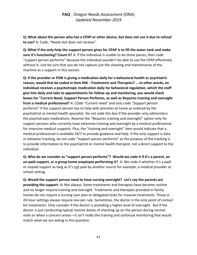**Q: What about the person who has a CPAP or other device, but does not use it due to refusal to use?** A: Code, "Needs but does not receive".

**Q: What if the only help the support person gives for CPAP is to fill the water tank and make sure it's functioning? Count it?** A: If the individual is unable to do those pieces, then code "support person performs" because the individual wouldn't be able to use the CPAP effectively without it. Just be sure that you do not capture just the cleaning and maintenance of the machine as a support in this section.

**Q: If the provider or PSW is giving a medication daily for a behavioral health or psychiatric reason, would that be coded in item #46 - Treatments and Therapies? ....in other words, an individual receives a psychotropic medication daily for behavioral regulation, which the staff give him daily and take to appointments for follow-up and monitoring, you would check boxes for "Current Need, Support Person Performs, as well as Requires training and oversight from a medical professional?** A: COde "Current need" and only code "Support person performs" if the support person has to help with activities at home as ordered by the psychiatrist or mental health specialist. Do not code this box if the provider only administers the psychotropic medications. Reserve the "Requires training and oversight" option only for support persons who currently have extensive training and oversight by a medical professional for intensive medical supports. Plus, the "training and oversight" item would indicate that a medical professional is available 24/7 to provide guidance and help. If the only support is data or behavior tracking, do not code "Support person performs" as the purpose of the tracking is to provide information to the psychiatrist or mental health therapist, not a direct support to the individual.

**Q: Who do we consider as "support person performs"? Would we code it if it's a parent, an un-paid support, or a group home employee performing it?** A: We code it whether it's a paid or unpaid support as long as it's not paid by another source for example; a medical provider or school setting.

**Q: Would the support person need to have nursing oversight? Let's say the parents are providing the support.** A**:** Not always. Some treatments and therapies have become routine and no longer require training and oversight. Treatments and therapies provided in family homes do not require a nursing care plan or delegated tasks for invasive treatments. Those in 24-hour settings always require one per rule. Sometimes, the doctor is the only point of contact for treatments. Only consider if the doctor is providing a higher level of oversight. But If the doctor is just conducting typical routine duties of checking up on the person during normal visits or when a concern arises—it isn't really the training and continual monitoring that would match what we are asking in this question.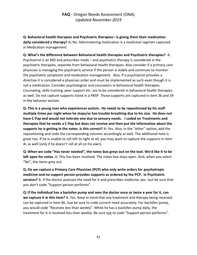**Q: Behavioral health therapies and Psychiatric therapies– Is giving them their medication daily considered a therapy?** A**:** No. Administering medication is a medicinal regimen captured in Medication management.

# **Q: What's the difference between Behavioral health therapies and Psychiatric therapies?** A:

Psychiatrist is an MD and prescribes meds – and psychiatric therapy is considered in the psychiatric therapies, separate from behavioral health therapies. Also consider if a primary care physician is managing the psychiatric service if the person is stable and continues to monitor the psychiatric symptoms and medication management. Also, if a psychiatrist provides a directive it is considered a physician order and must be implemented as such even though it is not a medication. Consider psychologists and counselors in behavioral health therapies. Counseling, skills training, peer support etc. are to be considered in behavioral health therapies as well. Do not capture supports listed in a PBSP. Those supports are captured in item 36 and 39 in the behavior section.

**Q: This is a young man who experiences autism. He needs to be repositioned by his staff multiple times per night when he stops/or has trouble breathing due to his size. He does not have C-Pap and would not tolerate one due to sensory needs. I coded on Treatments and therapies that he needs a C-Pap but does not receive and then put the information about the supports he is getting in the notes. Is this correct?** A: Yes. Also, in the "other" option, add the repositioning and code the corresponding columns accordingly as well. The additional note is great too. If he is unable to roll left to right at all, you may want to capture the supports in item 4c as well (only if he doesn't roll at all on his own).

**Q: When we code "Has never needed", the notes box greys out on the tool. We'd like it to be left open for notes.** A: This has been resolved. The notes box stays open. And, when you select "No", the items grey out.

**Q: Do we capture a Primary Care Physician (PCP) who only write orders for psychotropic medicine and no support person provides supports as ordered by the PCP, in Psychiatric services?** A: If the doctor assesses the need for it and prescribes medicine, yes. Just be sure that you don't code "Support person performs".

**Q: If the individual has a baclofen pump and sees the doctor once or twice a year for it, can we capture it in this item?** A: Yes. Keep in mind that any treatment and therapy being received can be captured in item 46. Just be sure to code current need accurately. For baclofen pump, you would code "Receives less than weekly". While he has a baclofen pump daily, the treatment for it is received less than weekly. Be sure not to code "Support person performs".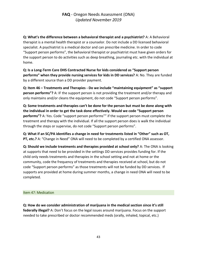**Q: What's the difference between a behavioral therapist and a psychiatrist?** A: A Behavioral therapist is a mental health therapist or a counselor. Do not include a DD licensed behavioral specialist. A psychiatrist is a medical doctor and can prescribe medicine. In order to code "Support person performs", the behavioral therapist or psychiatrist must have given orders for the support person to do activities such as deep breathing, journaling etc. with the individual at home.

**Q: Is a Long-Term Care DHS Contracted Nurse for kids considered as "Support person performs" when they provide nursing services for kids in DD services?** A: No. They are funded by a different source than a DD provider payment.

**Q: Item 46 – Treatments and Therapies - Do we include "maintaining equipment" as "support person performs"?** A: IF the support person is not providing the treatment and/or therapy and only maintains and/or cleans the equipment, do not code "Support person performs".

**Q: Some treatments and therapies can't be done for the person but must be done along with the individual in order to get the task done effectively. Would we code "Support person performs"?** A: Yes. Code "support person performs"" if the support person must complete the treatment and therapy with the individual. If all the support person does is walk the individual through the steps or supervise, do not code "Support person performs".

**Q: What if an SC/PA identifies a change in need for treatments listed in "Other" such as OT, PT, etc.?** A: "Change in Need" ONA will need to be completed by a certified ONA assessor.

**Q: Should we include treatments and therapies provided at school only?** A: The ONA is looking at supports that need to be provided in the settings DD services provides funding for. If the child only needs treatments and therapies in the school setting and not at home or the community, code the frequency of treatments and therapies received at school, but do not code "Support person performs" as those treatments will not be funded by DD services. If supports are provided at home during summer months, a change in need ONA will need to be completed.

#### <span id="page-43-0"></span>Item 47: Medication

**Q: How do we consider administration of marijuana in the medical section since it's still federally illegal?** A: Don't focus on the legal issues around marijuana. Focus on the support needed to take prescribed or doctor recommended meds (orally, inhaled, topical, etc.)